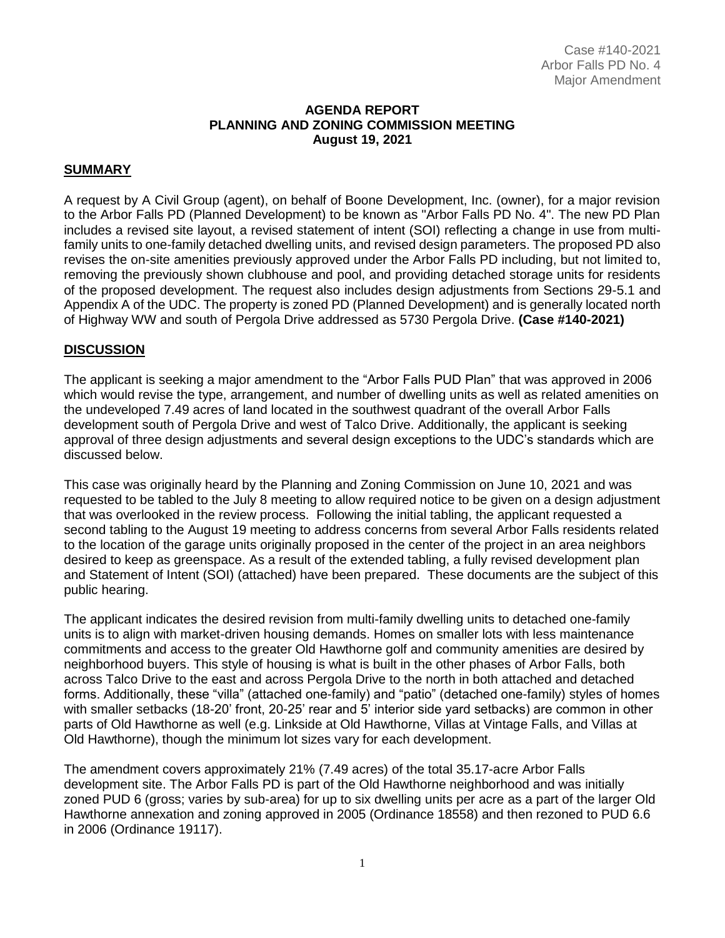#### **AGENDA REPORT PLANNING AND ZONING COMMISSION MEETING August 19, 2021**

### **SUMMARY**

A request by A Civil Group (agent), on behalf of Boone Development, Inc. (owner), for a major revision to the Arbor Falls PD (Planned Development) to be known as "Arbor Falls PD No. 4". The new PD Plan includes a revised site layout, a revised statement of intent (SOI) reflecting a change in use from multifamily units to one-family detached dwelling units, and revised design parameters. The proposed PD also revises the on-site amenities previously approved under the Arbor Falls PD including, but not limited to, removing the previously shown clubhouse and pool, and providing detached storage units for residents of the proposed development. The request also includes design adjustments from Sections 29-5.1 and Appendix A of the UDC. The property is zoned PD (Planned Development) and is generally located north of Highway WW and south of Pergola Drive addressed as 5730 Pergola Drive. **(Case #140-2021)**

#### **DISCUSSION**

The applicant is seeking a major amendment to the "Arbor Falls PUD Plan" that was approved in 2006 which would revise the type, arrangement, and number of dwelling units as well as related amenities on the undeveloped 7.49 acres of land located in the southwest quadrant of the overall Arbor Falls development south of Pergola Drive and west of Talco Drive. Additionally, the applicant is seeking approval of three design adjustments and several design exceptions to the UDC's standards which are discussed below.

This case was originally heard by the Planning and Zoning Commission on June 10, 2021 and was requested to be tabled to the July 8 meeting to allow required notice to be given on a design adjustment that was overlooked in the review process. Following the initial tabling, the applicant requested a second tabling to the August 19 meeting to address concerns from several Arbor Falls residents related to the location of the garage units originally proposed in the center of the project in an area neighbors desired to keep as greenspace. As a result of the extended tabling, a fully revised development plan and Statement of Intent (SOI) (attached) have been prepared. These documents are the subject of this public hearing.

The applicant indicates the desired revision from multi-family dwelling units to detached one-family units is to align with market-driven housing demands. Homes on smaller lots with less maintenance commitments and access to the greater Old Hawthorne golf and community amenities are desired by neighborhood buyers. This style of housing is what is built in the other phases of Arbor Falls, both across Talco Drive to the east and across Pergola Drive to the north in both attached and detached forms. Additionally, these "villa" (attached one-family) and "patio" (detached one-family) styles of homes with smaller setbacks (18-20' front, 20-25' rear and 5' interior side yard setbacks) are common in other parts of Old Hawthorne as well (e.g. Linkside at Old Hawthorne, Villas at Vintage Falls, and Villas at Old Hawthorne), though the minimum lot sizes vary for each development.

The amendment covers approximately 21% (7.49 acres) of the total 35.17-acre Arbor Falls development site. The Arbor Falls PD is part of the Old Hawthorne neighborhood and was initially zoned PUD 6 (gross; varies by sub-area) for up to six dwelling units per acre as a part of the larger Old Hawthorne annexation and zoning approved in 2005 (Ordinance 18558) and then rezoned to PUD 6.6 in 2006 (Ordinance 19117).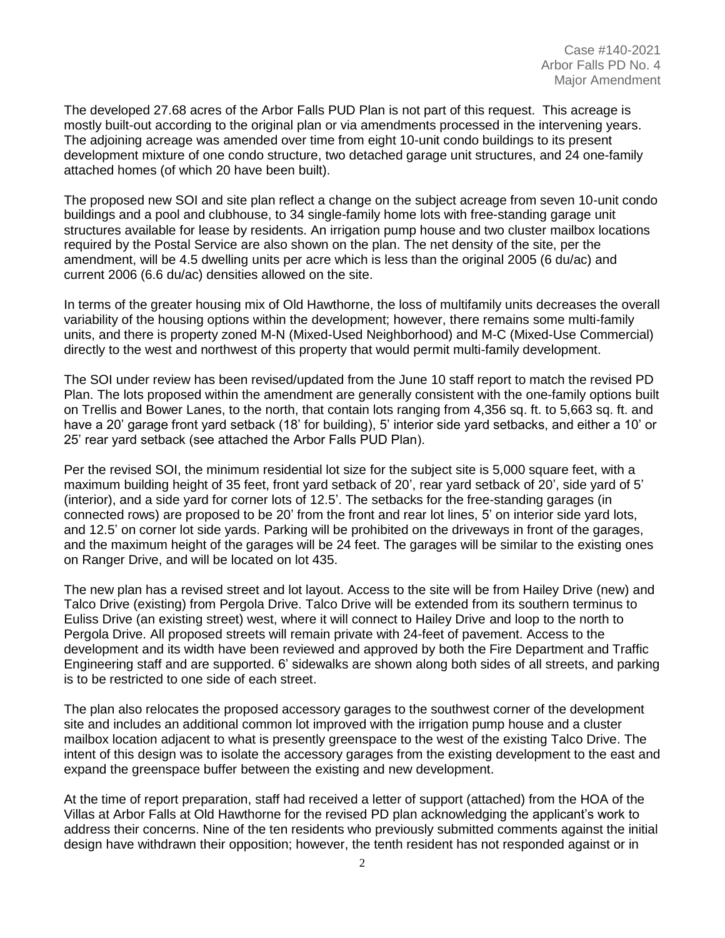The developed 27.68 acres of the Arbor Falls PUD Plan is not part of this request. This acreage is mostly built-out according to the original plan or via amendments processed in the intervening years. The adjoining acreage was amended over time from eight 10-unit condo buildings to its present development mixture of one condo structure, two detached garage unit structures, and 24 one-family attached homes (of which 20 have been built).

The proposed new SOI and site plan reflect a change on the subject acreage from seven 10-unit condo buildings and a pool and clubhouse, to 34 single-family home lots with free-standing garage unit structures available for lease by residents. An irrigation pump house and two cluster mailbox locations required by the Postal Service are also shown on the plan. The net density of the site, per the amendment, will be 4.5 dwelling units per acre which is less than the original 2005 (6 du/ac) and current 2006 (6.6 du/ac) densities allowed on the site.

In terms of the greater housing mix of Old Hawthorne, the loss of multifamily units decreases the overall variability of the housing options within the development; however, there remains some multi-family units, and there is property zoned M-N (Mixed-Used Neighborhood) and M-C (Mixed-Use Commercial) directly to the west and northwest of this property that would permit multi-family development.

The SOI under review has been revised/updated from the June 10 staff report to match the revised PD Plan. The lots proposed within the amendment are generally consistent with the one-family options built on Trellis and Bower Lanes, to the north, that contain lots ranging from 4,356 sq. ft. to 5,663 sq. ft. and have a 20' garage front yard setback (18' for building), 5' interior side yard setbacks, and either a 10' or 25' rear yard setback (see attached the Arbor Falls PUD Plan).

Per the revised SOI, the minimum residential lot size for the subject site is 5,000 square feet, with a maximum building height of 35 feet, front yard setback of 20', rear yard setback of 20', side yard of 5' (interior), and a side yard for corner lots of 12.5'. The setbacks for the free-standing garages (in connected rows) are proposed to be 20' from the front and rear lot lines, 5' on interior side yard lots, and 12.5' on corner lot side yards. Parking will be prohibited on the driveways in front of the garages, and the maximum height of the garages will be 24 feet. The garages will be similar to the existing ones on Ranger Drive, and will be located on lot 435.

The new plan has a revised street and lot layout. Access to the site will be from Hailey Drive (new) and Talco Drive (existing) from Pergola Drive. Talco Drive will be extended from its southern terminus to Euliss Drive (an existing street) west, where it will connect to Hailey Drive and loop to the north to Pergola Drive. All proposed streets will remain private with 24-feet of pavement. Access to the development and its width have been reviewed and approved by both the Fire Department and Traffic Engineering staff and are supported. 6' sidewalks are shown along both sides of all streets, and parking is to be restricted to one side of each street.

The plan also relocates the proposed accessory garages to the southwest corner of the development site and includes an additional common lot improved with the irrigation pump house and a cluster mailbox location adjacent to what is presently greenspace to the west of the existing Talco Drive. The intent of this design was to isolate the accessory garages from the existing development to the east and expand the greenspace buffer between the existing and new development.

At the time of report preparation, staff had received a letter of support (attached) from the HOA of the Villas at Arbor Falls at Old Hawthorne for the revised PD plan acknowledging the applicant's work to address their concerns. Nine of the ten residents who previously submitted comments against the initial design have withdrawn their opposition; however, the tenth resident has not responded against or in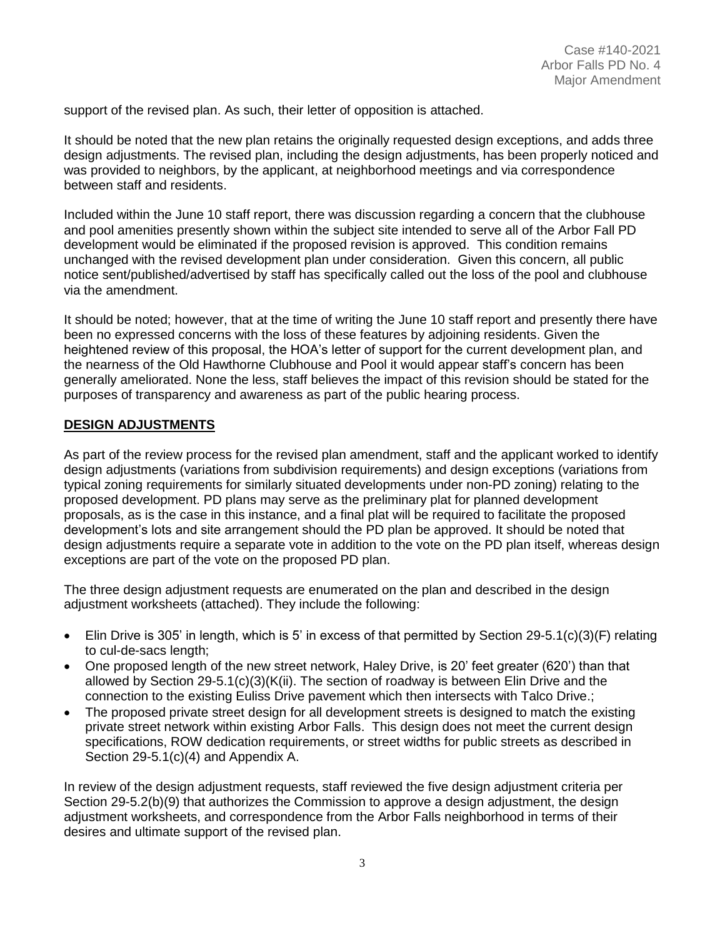support of the revised plan. As such, their letter of opposition is attached.

It should be noted that the new plan retains the originally requested design exceptions, and adds three design adjustments. The revised plan, including the design adjustments, has been properly noticed and was provided to neighbors, by the applicant, at neighborhood meetings and via correspondence between staff and residents.

Included within the June 10 staff report, there was discussion regarding a concern that the clubhouse and pool amenities presently shown within the subject site intended to serve all of the Arbor Fall PD development would be eliminated if the proposed revision is approved. This condition remains unchanged with the revised development plan under consideration. Given this concern, all public notice sent/published/advertised by staff has specifically called out the loss of the pool and clubhouse via the amendment.

It should be noted; however, that at the time of writing the June 10 staff report and presently there have been no expressed concerns with the loss of these features by adjoining residents. Given the heightened review of this proposal, the HOA's letter of support for the current development plan, and the nearness of the Old Hawthorne Clubhouse and Pool it would appear staff's concern has been generally ameliorated. None the less, staff believes the impact of this revision should be stated for the purposes of transparency and awareness as part of the public hearing process.

### **DESIGN ADJUSTMENTS**

As part of the review process for the revised plan amendment, staff and the applicant worked to identify design adjustments (variations from subdivision requirements) and design exceptions (variations from typical zoning requirements for similarly situated developments under non-PD zoning) relating to the proposed development. PD plans may serve as the preliminary plat for planned development proposals, as is the case in this instance, and a final plat will be required to facilitate the proposed development's lots and site arrangement should the PD plan be approved. It should be noted that design adjustments require a separate vote in addition to the vote on the PD plan itself, whereas design exceptions are part of the vote on the proposed PD plan.

The three design adjustment requests are enumerated on the plan and described in the design adjustment worksheets (attached). They include the following:

- $\bullet$  Elin Drive is 305' in length, which is 5' in excess of that permitted by Section 29-5.1(c)(3)(F) relating to cul-de-sacs length;
- One proposed length of the new street network, Haley Drive, is 20' feet greater (620') than that allowed by Section 29-5.1(c)(3)(K(ii). The section of roadway is between Elin Drive and the connection to the existing Euliss Drive pavement which then intersects with Talco Drive.;
- The proposed private street design for all development streets is designed to match the existing private street network within existing Arbor Falls. This design does not meet the current design specifications, ROW dedication requirements, or street widths for public streets as described in Section 29-5.1(c)(4) and Appendix A.

In review of the design adjustment requests, staff reviewed the five design adjustment criteria per Section 29-5.2(b)(9) that authorizes the Commission to approve a design adjustment, the design adjustment worksheets, and correspondence from the Arbor Falls neighborhood in terms of their desires and ultimate support of the revised plan.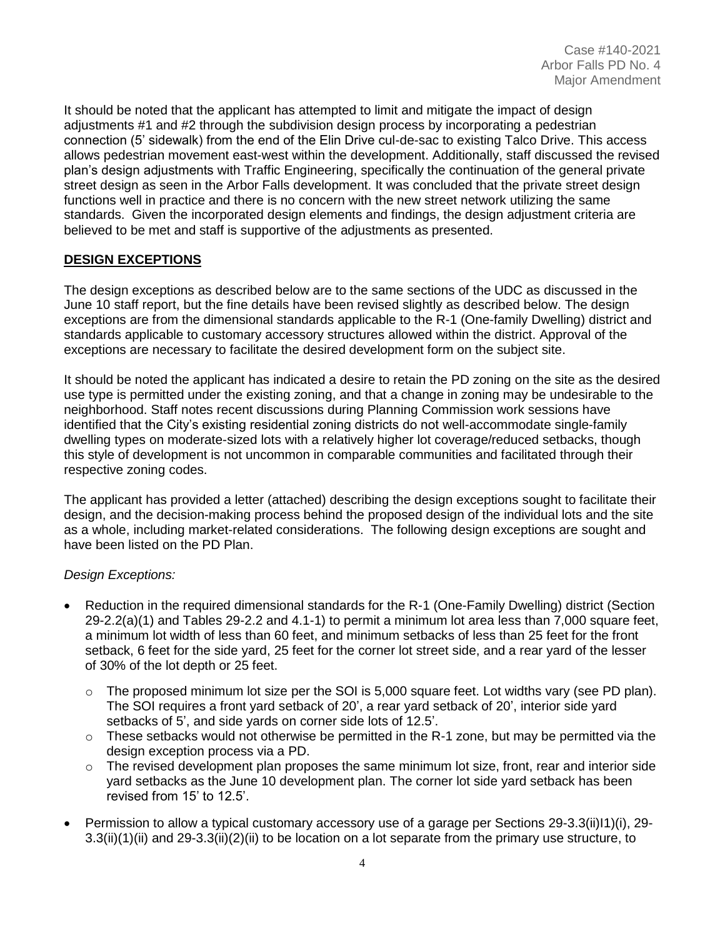It should be noted that the applicant has attempted to limit and mitigate the impact of design adjustments #1 and #2 through the subdivision design process by incorporating a pedestrian connection (5' sidewalk) from the end of the Elin Drive cul-de-sac to existing Talco Drive. This access allows pedestrian movement east-west within the development. Additionally, staff discussed the revised plan's design adjustments with Traffic Engineering, specifically the continuation of the general private street design as seen in the Arbor Falls development. It was concluded that the private street design functions well in practice and there is no concern with the new street network utilizing the same standards. Given the incorporated design elements and findings, the design adjustment criteria are believed to be met and staff is supportive of the adjustments as presented.

## **DESIGN EXCEPTIONS**

The design exceptions as described below are to the same sections of the UDC as discussed in the June 10 staff report, but the fine details have been revised slightly as described below. The design exceptions are from the dimensional standards applicable to the R-1 (One-family Dwelling) district and standards applicable to customary accessory structures allowed within the district. Approval of the exceptions are necessary to facilitate the desired development form on the subject site.

It should be noted the applicant has indicated a desire to retain the PD zoning on the site as the desired use type is permitted under the existing zoning, and that a change in zoning may be undesirable to the neighborhood. Staff notes recent discussions during Planning Commission work sessions have identified that the City's existing residential zoning districts do not well-accommodate single-family dwelling types on moderate-sized lots with a relatively higher lot coverage/reduced setbacks, though this style of development is not uncommon in comparable communities and facilitated through their respective zoning codes.

The applicant has provided a letter (attached) describing the design exceptions sought to facilitate their design, and the decision-making process behind the proposed design of the individual lots and the site as a whole, including market-related considerations. The following design exceptions are sought and have been listed on the PD Plan.

## *Design Exceptions:*

- Reduction in the required dimensional standards for the R-1 (One-Family Dwelling) district (Section 29-2.2(a)(1) and Tables 29-2.2 and 4.1-1) to permit a minimum lot area less than 7,000 square feet, a minimum lot width of less than 60 feet, and minimum setbacks of less than 25 feet for the front setback, 6 feet for the side yard, 25 feet for the corner lot street side, and a rear yard of the lesser of 30% of the lot depth or 25 feet.
	- $\circ$  The proposed minimum lot size per the SOI is 5,000 square feet. Lot widths vary (see PD plan). The SOI requires a front yard setback of 20', a rear yard setback of 20', interior side yard setbacks of 5', and side yards on corner side lots of 12.5'.
	- $\circ$  These setbacks would not otherwise be permitted in the R-1 zone, but may be permitted via the design exception process via a PD.
	- $\circ$  The revised development plan proposes the same minimum lot size, front, rear and interior side yard setbacks as the June 10 development plan. The corner lot side yard setback has been revised from 15' to 12.5'.
- Permission to allow a typical customary accessory use of a garage per Sections 29-3.3(ii)I1)(i), 29- 3.3(ii)(1)(ii) and 29-3.3(ii)(2)(ii) to be location on a lot separate from the primary use structure, to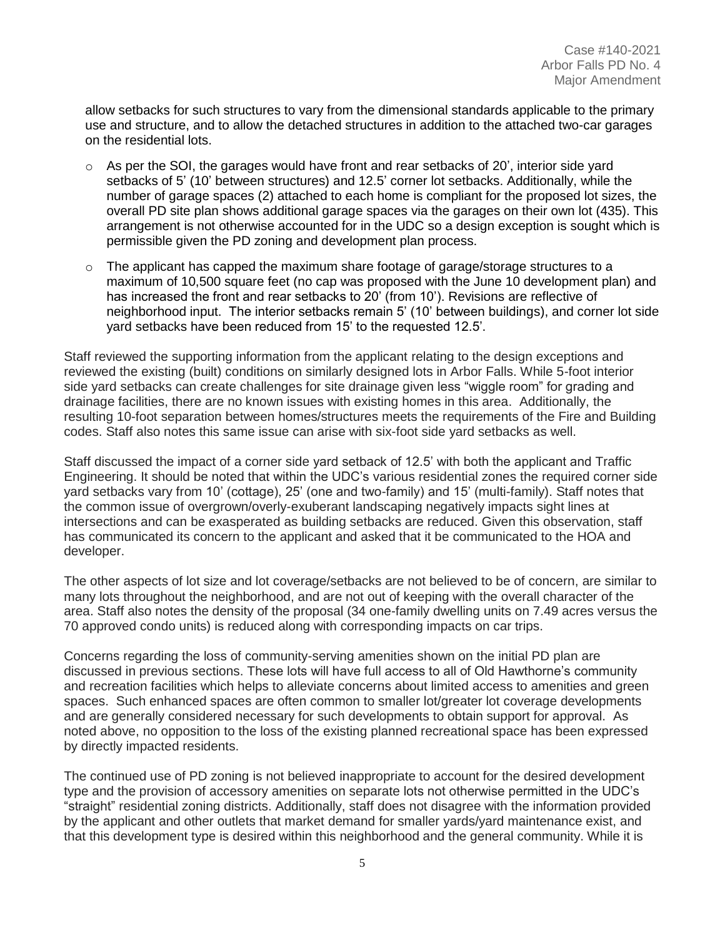allow setbacks for such structures to vary from the dimensional standards applicable to the primary use and structure, and to allow the detached structures in addition to the attached two-car garages on the residential lots.

- $\circ$  As per the SOI, the garages would have front and rear setbacks of 20', interior side yard setbacks of 5' (10' between structures) and 12.5' corner lot setbacks. Additionally, while the number of garage spaces (2) attached to each home is compliant for the proposed lot sizes, the overall PD site plan shows additional garage spaces via the garages on their own lot (435). This arrangement is not otherwise accounted for in the UDC so a design exception is sought which is permissible given the PD zoning and development plan process.
- o The applicant has capped the maximum share footage of garage/storage structures to a maximum of 10,500 square feet (no cap was proposed with the June 10 development plan) and has increased the front and rear setbacks to 20' (from 10'). Revisions are reflective of neighborhood input. The interior setbacks remain 5' (10' between buildings), and corner lot side yard setbacks have been reduced from 15' to the requested 12.5'.

Staff reviewed the supporting information from the applicant relating to the design exceptions and reviewed the existing (built) conditions on similarly designed lots in Arbor Falls. While 5-foot interior side yard setbacks can create challenges for site drainage given less "wiggle room" for grading and drainage facilities, there are no known issues with existing homes in this area. Additionally, the resulting 10-foot separation between homes/structures meets the requirements of the Fire and Building codes. Staff also notes this same issue can arise with six-foot side yard setbacks as well.

Staff discussed the impact of a corner side yard setback of 12.5' with both the applicant and Traffic Engineering. It should be noted that within the UDC's various residential zones the required corner side yard setbacks vary from 10' (cottage), 25' (one and two-family) and 15' (multi-family). Staff notes that the common issue of overgrown/overly-exuberant landscaping negatively impacts sight lines at intersections and can be exasperated as building setbacks are reduced. Given this observation, staff has communicated its concern to the applicant and asked that it be communicated to the HOA and developer.

The other aspects of lot size and lot coverage/setbacks are not believed to be of concern, are similar to many lots throughout the neighborhood, and are not out of keeping with the overall character of the area. Staff also notes the density of the proposal (34 one-family dwelling units on 7.49 acres versus the 70 approved condo units) is reduced along with corresponding impacts on car trips.

Concerns regarding the loss of community-serving amenities shown on the initial PD plan are discussed in previous sections. These lots will have full access to all of Old Hawthorne's community and recreation facilities which helps to alleviate concerns about limited access to amenities and green spaces. Such enhanced spaces are often common to smaller lot/greater lot coverage developments and are generally considered necessary for such developments to obtain support for approval. As noted above, no opposition to the loss of the existing planned recreational space has been expressed by directly impacted residents.

The continued use of PD zoning is not believed inappropriate to account for the desired development type and the provision of accessory amenities on separate lots not otherwise permitted in the UDC's "straight" residential zoning districts. Additionally, staff does not disagree with the information provided by the applicant and other outlets that market demand for smaller yards/yard maintenance exist, and that this development type is desired within this neighborhood and the general community. While it is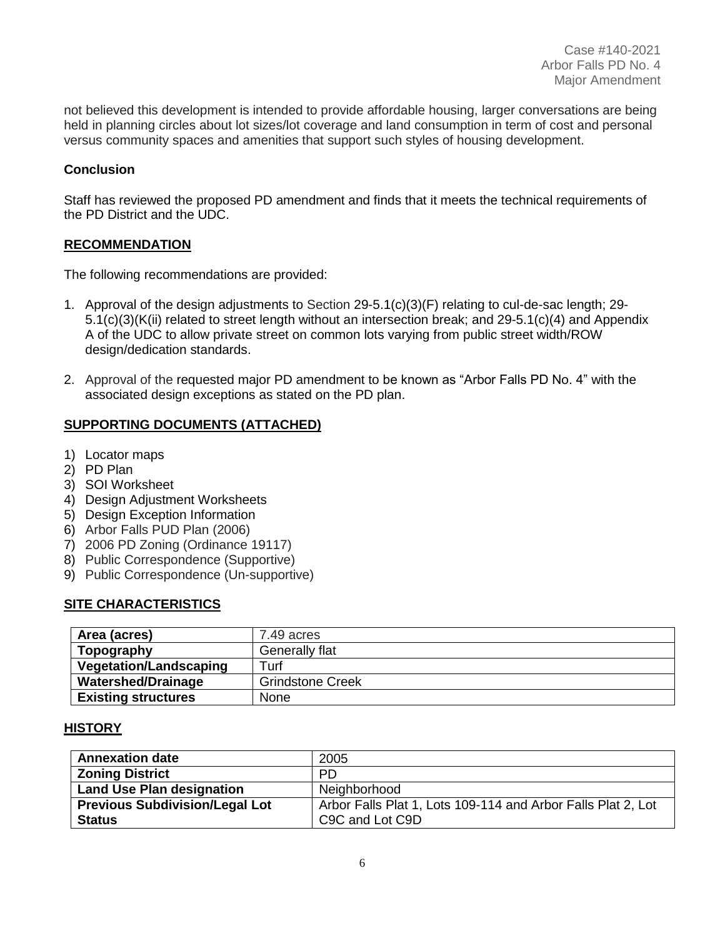not believed this development is intended to provide affordable housing, larger conversations are being held in planning circles about lot sizes/lot coverage and land consumption in term of cost and personal versus community spaces and amenities that support such styles of housing development.

### **Conclusion**

Staff has reviewed the proposed PD amendment and finds that it meets the technical requirements of the PD District and the UDC.

#### **RECOMMENDATION**

The following recommendations are provided:

- 1. Approval of the design adjustments to Section 29-5.1(c)(3)(F) relating to cul-de-sac length; 29- 5.1(c)(3)(K(ii) related to street length without an intersection break; and 29-5.1(c)(4) and Appendix A of the UDC to allow private street on common lots varying from public street width/ROW design/dedication standards.
- 2. Approval of the requested major PD amendment to be known as "Arbor Falls PD No. 4" with the associated design exceptions as stated on the PD plan.

## **SUPPORTING DOCUMENTS (ATTACHED)**

- 1) Locator maps
- 2) PD Plan
- 3) SOI Worksheet
- 4) Design Adjustment Worksheets
- 5) Design Exception Information
- 6) Arbor Falls PUD Plan (2006)
- 7) 2006 PD Zoning (Ordinance 19117)
- 8) Public Correspondence (Supportive)
- 9) Public Correspondence (Un-supportive)

#### **SITE CHARACTERISTICS**

| Area (acres)                  | 7.49 acres              |
|-------------------------------|-------------------------|
| Topography                    | Generally flat          |
| <b>Vegetation/Landscaping</b> | ⊤urf                    |
| <b>Watershed/Drainage</b>     | <b>Grindstone Creek</b> |
| <b>Existing structures</b>    | None                    |

## **HISTORY**

| <b>Annexation date</b>                | 2005                                                         |
|---------------------------------------|--------------------------------------------------------------|
| <b>Zoning District</b>                | PD.                                                          |
| <b>Land Use Plan designation</b>      | Neighborhood                                                 |
| <b>Previous Subdivision/Legal Lot</b> | Arbor Falls Plat 1, Lots 109-114 and Arbor Falls Plat 2, Lot |
| <b>Status</b>                         | C9C and Lot C9D                                              |